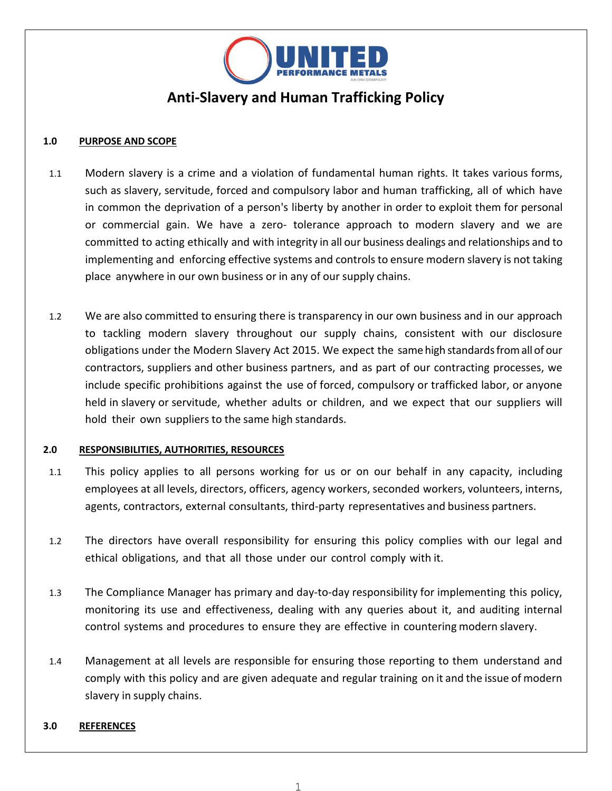

# **Anti-Slavery and Human Trafficking Policy**

## **1.0 PURPOSE AND SCOPE**

- 1.1 Modern slavery is a crime and a violation of fundamental human rights. It takes various forms, such as slavery, servitude, forced and compulsory labor and human trafficking, all of which have in common the deprivation of a person's liberty by another in order to exploit them for personal or commercial gain. We have a zero- tolerance approach to modern slavery and we are committed to acting ethically and with integrity in all our business dealings and relationships and to implementing and enforcing effective systems and controls to ensure modern slavery is not taking place anywhere in our own business or in any of our supply chains.
- 1.2 We are also committed to ensuring there is transparency in our own business and in our approach to tackling modern slavery throughout our supply chains, consistent with our disclosure obligations under the Modern Slavery Act 2015. We expect the same high standardsfromall of our contractors, suppliers and other business partners, and as part of our contracting processes, we include specific prohibitions against the use of forced, compulsory or trafficked labor, or anyone held in slavery or servitude, whether adults or children, and we expect that our suppliers will hold their own suppliers to the same high standards.

# **2.0 RESPONSIBILITIES, AUTHORITIES, RESOURCES**

- 1.1 This policy applies to all persons working for us or on our behalf in any capacity, including employees at all levels, directors, officers, agency workers, seconded workers, volunteers, interns, agents, contractors, external consultants, third-party representatives and business partners.
- 1.2 The directors have overall responsibility for ensuring this policy complies with our legal and ethical obligations, and that all those under our control comply with it.
- 1.3 The Compliance Manager has primary and day-to-day responsibility for implementing this policy, monitoring its use and effectiveness, dealing with any queries about it, and auditing internal control systems and procedures to ensure they are effective in countering modern slavery.
- 1.4 Management at all levels are responsible for ensuring those reporting to them understand and comply with this policy and are given adequate and regular training on it and the issue of modern slavery in supply chains.

### **3.0 REFERENCES**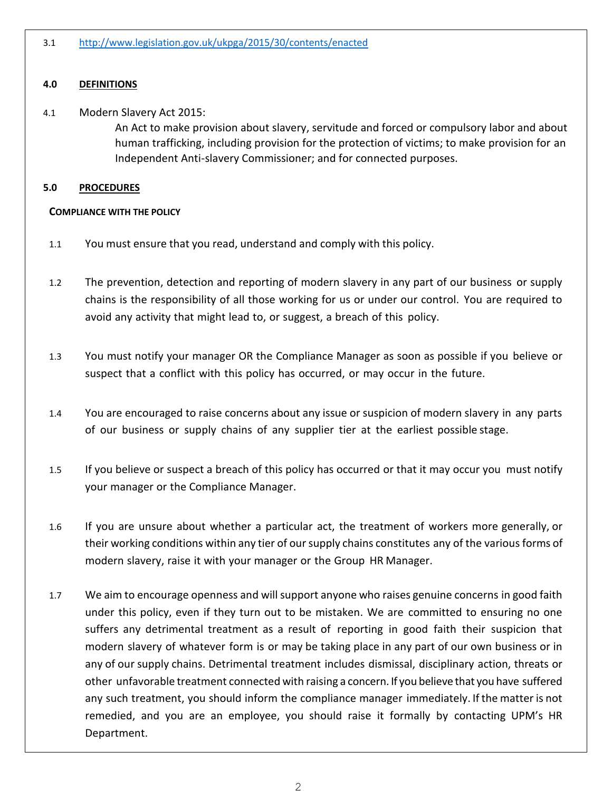# **4.0 DEFINITIONS**

# 4.1 Modern Slavery Act 2015:

An Act to make provision about slavery, servitude and forced or compulsory labor and about human trafficking, including provision for the protection of victims; to make provision for an Independent Anti-slavery Commissioner; and for connected purposes.

## **5.0 PROCEDURES**

## **COMPLIANCE WITH THE POLICY**

- 1.1 You must ensure that you read, understand and comply with this policy.
- 1.2 The prevention, detection and reporting of modern slavery in any part of our business or supply chains is the responsibility of all those working for us or under our control. You are required to avoid any activity that might lead to, or suggest, a breach of this policy.
- 1.3 You must notify your manager OR the Compliance Manager as soon as possible if you believe or suspect that a conflict with this policy has occurred, or may occur in the future.
- 1.4 You are encouraged to raise concerns about any issue or suspicion of modern slavery in any parts of our business or supply chains of any supplier tier at the earliest possible stage.
- 1.5 If you believe or suspect a breach of this policy has occurred or that it may occur you must notify your manager or the Compliance Manager.
- 1.6 If you are unsure about whether a particular act, the treatment of workers more generally, or their working conditions within any tier of oursupply chains constitutes any of the various forms of modern slavery, raise it with your manager or the Group HR Manager.
- 1.7 We aim to encourage openness and willsupport anyone who raises genuine concerns in good faith under this policy, even if they turn out to be mistaken. We are committed to ensuring no one suffers any detrimental treatment as a result of reporting in good faith their suspicion that modern slavery of whatever form is or may be taking place in any part of our own business or in any of our supply chains. Detrimental treatment includes dismissal, disciplinary action, threats or other unfavorable treatment connected with raising a concern. If you believe that you have suffered any such treatment, you should inform the compliance manager immediately. If the matter is not remedied, and you are an employee, you should raise it formally by contacting UPM's HR Department.